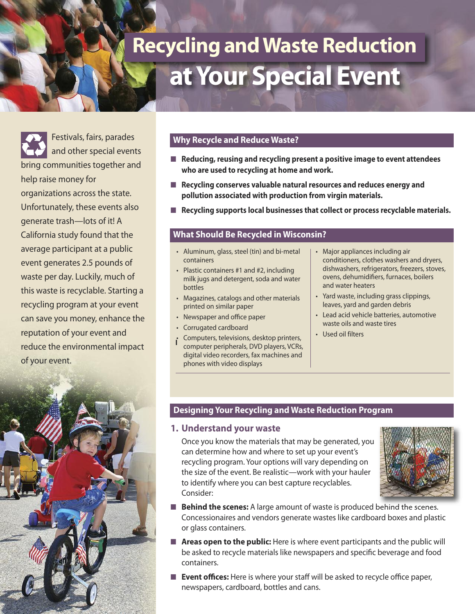# **at Your Special Event Recycling and Waste Reduction**

Festivals, fairs, parades and other special events bring communities together and help raise money for organizations across the state. Unfortunately, these events also generate trash—lots of it! A California study found that the average participant at a public event generates 2.5 pounds of waste per day. Luckily, much of this waste is recyclable. Starting a recycling program at your event can save you money, enhance the reputation of your event and reduce the environmental impact of your event.



#### **Why Recycle and Reduce Waste?**

- **■ Reducing, reusing and recycling present a positive image to event attendees who are used to recycling at home and work.**
- **Recycling conserves valuable natural resources and reduces energy and pollution associated with production from virgin materials.**
- **Recycling supports local businesses that collect or process recyclable materials.**

#### **What Should Be Recycled in Wisconsin?**

- Aluminum, glass, steel (tin) and bi-metal containers
- Plastic containers #1 and #2, including milk jugs and detergent, soda and water bottles
- Magazines, catalogs and other materials printed on similar paper
- Newspaper and office paper
- Corrugated cardboard
- Computers, televisions, desktop printers, computer peripherals, DVD players, VCRs, digital video recorders, fax machines and phones with video displays **l**
- Major appliances including air conditioners, clothes washers and dryers, dishwashers, refrigerators, freezers, stoves, ovens, dehumidifiers, furnaces, boilers and water heaters
- Yard waste, including grass clippings, leaves, yard and garden debris
- Lead acid vehicle batteries, automotive waste oils and waste tires
- Used oil filters

#### **Designing Your Recycling and Waste Reduction Program**

#### **1. Understand your waste**

Once you know the materials that may be generated, you can determine how and where to set up your event's recycling program. Your options will vary depending on the size of the event. Be realistic—work with your hauler to identify where you can best capture recyclables. Consider:



- **Behind the scenes:** A large amount of waste is produced behind the scenes. Concessionaires and vendors generate wastes like cardboard boxes and plastic or glass containers.
- **Areas open to the public:** Here is where event participants and the public will be asked to recycle materials like newspapers and specific beverage and food containers.
- **Event offices:** Here is where your staff will be asked to recycle office paper, newspapers, cardboard, bottles and cans.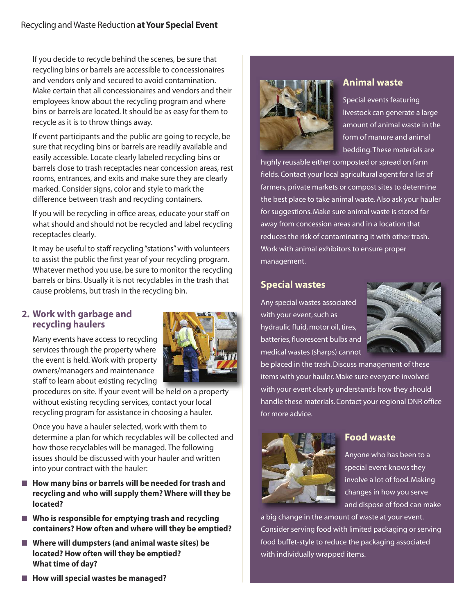If you decide to recycle behind the scenes, be sure that recycling bins or barrels are accessible to concessionaires and vendors only and secured to avoid contamination. Make certain that all concessionaires and vendors and their employees know about the recycling program and where bins or barrels are located. It should be as easy for them to recycle as it is to throw things away.

If event participants and the public are going to recycle, be sure that recycling bins or barrels are readily available and easily accessible. Locate clearly labeled recycling bins or barrels close to trash receptacles near concession areas, rest rooms, entrances, and exits and make sure they are clearly marked. Consider signs, color and style to mark the difference between trash and recycling containers.

If you will be recycling in office areas, educate your staff on what should and should not be recycled and label recycling receptacles clearly.

It may be useful to staff recycling "stations" with volunteers to assist the public the first year of your recycling program. Whatever method you use, be sure to monitor the recycling barrels or bins. Usually it is not recyclables in the trash that cause problems, but trash in the recycling bin.

## **2. Work with garbage and recycling haulers**

Many events have access to recycling services through the property where the event is held. Work with property owners/managers and maintenance staff to learn about existing recycling



procedures on site. If your event will be held on a property without existing recycling services, contact your local recycling program for assistance in choosing a hauler.

Once you have a hauler selected, work with them to determine a plan for which recyclables will be collected and how those recyclables will be managed. The following issues should be discussed with your hauler and written into your contract with the hauler:

- How many bins or barrels will be needed for trash and **recycling and who will supply them? Where will they be located?**
- Who is responsible for emptying trash and recycling **containers? How often and where will they be emptied?**
- **■ Where will dumpsters (and animal waste sites) be located? How often will they be emptied? What time of day?**





## **Animal waste**

Special events featuring livestock can generate a large amount of animal waste in the form of manure and animal bedding. These materials are

highly reusable either composted or spread on farm fields. Contact your local agricultural agent for a list of farmers, private markets or compost sites to determine the best place to take animal waste. Also ask your hauler for suggestions. Make sure animal waste is stored far away from concession areas and in a location that reduces the risk of contaminating it with other trash. Work with animal exhibitors to ensure proper management.

# **Special wastes**

Any special wastes associated with your event, such as hydraulic fluid, motor oil, tires, batteries, fluorescent bulbs and medical wastes (sharps) cannot



be placed in the trash. Discuss management of these items with your hauler. Make sure everyone involved with your event clearly understands how they should handle these materials. Contact your regional DNR office for more advice.



## **Food waste**

Anyone who has been to a special event knows they involve a lot of food. Making changes in how you serve and dispose of food can make

a big change in the amount of waste at your event. Consider serving food with limited packaging or serving food buffet-style to reduce the packaging associated with individually wrapped items.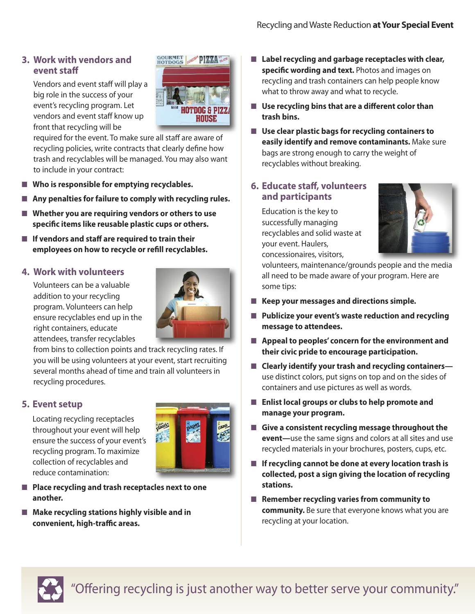## **3. Work with vendors and event staff**

Vendors and event staff will play a big role in the success of your event's recycling program. Let vendors and event staff know up front that recycling will be



required for the event. To make sure all staff are aware of recycling policies, write contracts that clearly define how trash and recyclables will be managed. You may also want to include in your contract:

- Who is responsible for emptying recyclables.
- **Any penalties for failure to comply with recycling rules.**
- **■ Whether you are requiring vendors or others to use specific items like reusable plastic cups or others.**
- If vendors and staff are required to train their **employees on how to recycle or refill recyclables.**

## **4. Work with volunteers**

Volunteers can be a valuable addition to your recycling program. Volunteers can help ensure recyclables end up in the right containers, educate attendees, transfer recyclables



from bins to collection points and track recycling rates. If you will be using volunteers at your event, start recruiting several months ahead of time and train all volunteers in recycling procedures.

## **5. Event setup**

Locating recycling receptacles throughout your event will help ensure the success of your event's recycling program. To maximize collection of recyclables and reduce contamination:



- **■ Place recycling and trash receptacles next to one another.**
- **Make recycling stations highly visible and in convenient, high-traffic areas.**
- **■ Label recycling and garbage receptacles with clear, specific wording and text.** Photos and images on recycling and trash containers can help people know what to throw away and what to recycle.
- Use recycling bins that are a different color than **trash bins.**
- **■ Use clear plastic bags for recycling containers to easily identify and remove contaminants.** Make sure bags are strong enough to carry the weight of recyclables without breaking.

## **6. Educate staff, volunteers and participants**

Education is the key to successfully managing recyclables and solid waste at your event. Haulers, concessionaires, visitors,



volunteers, maintenance/grounds people and the media all need to be made aware of your program. Here are some tips:

- **■ Keep your messages and directions simple.**
- **■ Publicize your event's waste reduction and recycling message to attendees.**
- **■ Appeal to peoples' concern for the environment and their civic pride to encourage participation.**
- **■ Clearly identify your trash and recycling containers** use distinct colors, put signs on top and on the sides of containers and use pictures as well as words.
- **■ Enlist local groups or clubs to help promote and manage your program.**
- **■ Give a consistent recycling message throughout the event—**use the same signs and colors at all sites and use recycled materials in your brochures, posters, cups, etc.
- **■ If recycling cannot be done at every location trash is collected, post a sign giving the location of recycling stations.**
- **Remember recycling varies from community to community.** Be sure that everyone knows what you are recycling at your location.